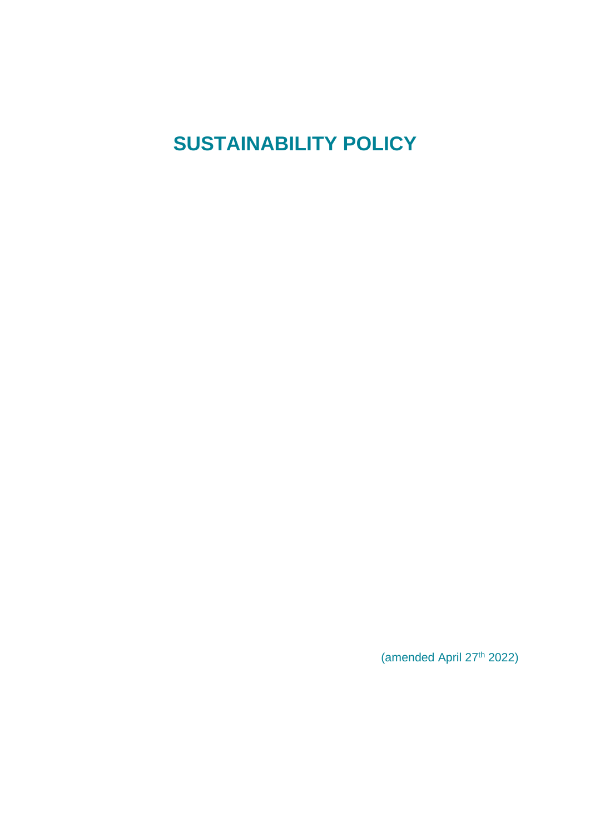# **SUSTAINABILITY POLICY**

(amended April 27 th 2022)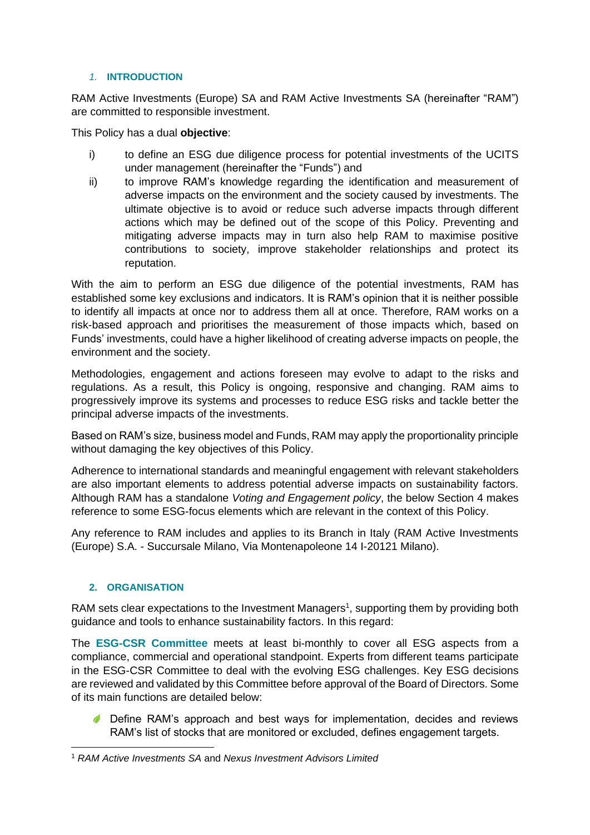### *1.* **INTRODUCTION**

RAM Active Investments (Europe) SA and RAM Active Investments SA (hereinafter "RAM") are committed to responsible investment.

This Policy has a dual **objective**:

- i) to define an ESG due diligence process for potential investments of the UCITS under management (hereinafter the "Funds") and
- ii) to improve RAM's knowledge regarding the identification and measurement of adverse impacts on the environment and the society caused by investments. The ultimate objective is to avoid or reduce such adverse impacts through different actions which may be defined out of the scope of this Policy. Preventing and mitigating adverse impacts may in turn also help RAM to maximise positive contributions to society, improve stakeholder relationships and protect its reputation.

With the aim to perform an ESG due diligence of the potential investments, RAM has established some key exclusions and indicators. It is RAM's opinion that it is neither possible to identify all impacts at once nor to address them all at once. Therefore, RAM works on a risk-based approach and prioritises the measurement of those impacts which, based on Funds' investments, could have a higher likelihood of creating adverse impacts on people, the environment and the society.

Methodologies, engagement and actions foreseen may evolve to adapt to the risks and regulations. As a result, this Policy is ongoing, responsive and changing. RAM aims to progressively improve its systems and processes to reduce ESG risks and tackle better the principal adverse impacts of the investments.

Based on RAM's size, business model and Funds, RAM may apply the proportionality principle without damaging the key objectives of this Policy.

Adherence to international standards and meaningful engagement with relevant stakeholders are also important elements to address potential adverse impacts on sustainability factors. Although RAM has a standalone *Voting and Engagement policy*, the below Section 4 makes reference to some ESG-focus elements which are relevant in the context of this Policy.

Any reference to RAM includes and applies to its Branch in Italy (RAM Active Investments (Europe) S.A. - Succursale Milano, Via Montenapoleone 14 I-20121 Milano).

### **2. ORGANISATION**

RAM sets clear expectations to the Investment Managers<sup>1</sup>, supporting them by providing both guidance and tools to enhance sustainability factors. In this regard:

The **ESG-CSR Committee** meets at least bi-monthly to cover all ESG aspects from a compliance, commercial and operational standpoint. Experts from different teams participate in the ESG-CSR Committee to deal with the evolving ESG challenges. Key ESG decisions are reviewed and validated by this Committee before approval of the Board of Directors. Some of its main functions are detailed below:

**C** Define RAM's approach and best ways for implementation, decides and reviews RAM's list of stocks that are monitored or excluded, defines engagement targets.

<sup>1</sup> *RAM Active Investments SA* and *Nexus Investment Advisors Limited*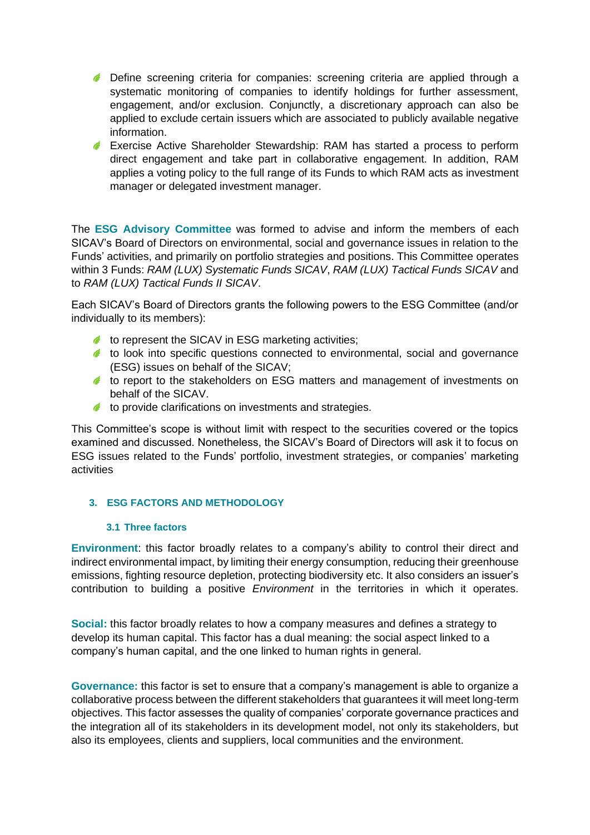- **C** Define screening criteria for companies: screening criteria are applied through a systematic monitoring of companies to identify holdings for further assessment, engagement, and/or exclusion. Conjunctly, a discretionary approach can also be applied to exclude certain issuers which are associated to publicly available negative information.
- Exercise Active Shareholder Stewardship: RAM has started a process to perform direct engagement and take part in collaborative engagement. In addition, RAM applies a voting policy to the full range of its Funds to which RAM acts as investment manager or delegated investment manager.

The **ESG Advisory Committee** was formed to advise and inform the members of each SICAV's Board of Directors on environmental, social and governance issues in relation to the Funds' activities, and primarily on portfolio strategies and positions. This Committee operates within 3 Funds: *RAM (LUX) Systematic Funds SICAV*, *RAM (LUX) Tactical Funds SICAV* and to *RAM (LUX) Tactical Funds II SICAV*.

Each SICAV's Board of Directors grants the following powers to the ESG Committee (and/or individually to its members):

- $\triangle$  to represent the SICAV in ESG marketing activities;
- to look into specific questions connected to environmental, social and governance (ESG) issues on behalf of the SICAV;
- to report to the stakeholders on ESG matters and management of investments on behalf of the SICAV.
- $\triangle$  to provide clarifications on investments and strategies.

This Committee's scope is without limit with respect to the securities covered or the topics examined and discussed. Nonetheless, the SICAV's Board of Directors will ask it to focus on ESG issues related to the Funds' portfolio, investment strategies, or companies' marketing activities

### **3. ESG FACTORS AND METHODOLOGY**

### **3.1 Three factors**

**Environment**: this factor broadly relates to a company's ability to control their direct and indirect environmental impact, by limiting their energy consumption, reducing their greenhouse emissions, fighting resource depletion, protecting biodiversity etc. It also considers an issuer's contribution to building a positive *Environment* in the territories in which it operates.

**Social:** this factor broadly relates to how a company measures and defines a strategy to develop its human capital. This factor has a dual meaning: the social aspect linked to a company's human capital, and the one linked to human rights in general.

**Governance:** this factor is set to ensure that a company's management is able to organize a collaborative process between the different stakeholders that guarantees it will meet long-term objectives. This factor assesses the quality of companies' corporate governance practices and the integration all of its stakeholders in its development model, not only its stakeholders, but also its employees, clients and suppliers, local communities and the environment.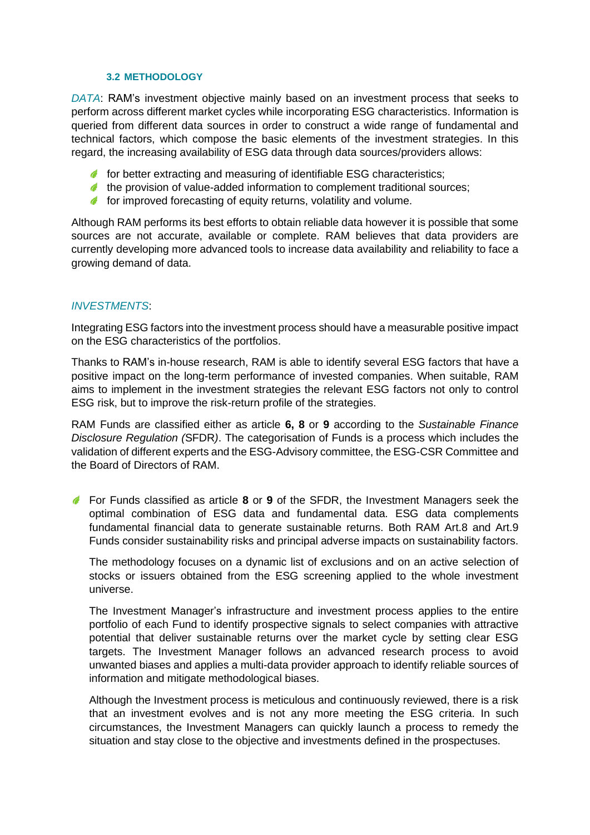### **3.2 METHODOLOGY**

*DATA*: RAM's investment objective mainly based on an investment process that seeks to perform across different market cycles while incorporating ESG characteristics. Information is queried from different data sources in order to construct a wide range of fundamental and technical factors, which compose the basic elements of the investment strategies. In this regard, the increasing availability of ESG data through data sources/providers allows:

- $\bullet$  for better extracting and measuring of identifiable ESG characteristics;
- $\triangle$  the provision of value-added information to complement traditional sources;
- $\bullet$  for improved forecasting of equity returns, volatility and volume.

Although RAM performs its best efforts to obtain reliable data however it is possible that some sources are not accurate, available or complete. RAM believes that data providers are currently developing more advanced tools to increase data availability and reliability to face a growing demand of data.

### *INVESTMENTS*:

Integrating ESG factors into the investment process should have a measurable positive impact on the ESG characteristics of the portfolios.

Thanks to RAM's in-house research, RAM is able to identify several ESG factors that have a positive impact on the long-term performance of invested companies. When suitable, RAM aims to implement in the investment strategies the relevant ESG factors not only to control ESG risk, but to improve the risk-return profile of the strategies.

RAM Funds are classified either as article **6, 8** or **9** according to the *Sustainable Finance Disclosure Regulation (*SFDR*)*. The categorisation of Funds is a process which includes the validation of different experts and the ESG-Advisory committee, the ESG-CSR Committee and the Board of Directors of RAM.

For Funds classified as article **8** or **9** of the SFDR, the Investment Managers seek the optimal combination of ESG data and fundamental data. ESG data complements fundamental financial data to generate sustainable returns. Both RAM Art.8 and Art.9 Funds consider sustainability risks and principal adverse impacts on sustainability factors.

The methodology focuses on a dynamic list of exclusions and on an active selection of stocks or issuers obtained from the ESG screening applied to the whole investment universe.

The Investment Manager's infrastructure and investment process applies to the entire portfolio of each Fund to identify prospective signals to select companies with attractive potential that deliver sustainable returns over the market cycle by setting clear ESG targets. The Investment Manager follows an advanced research process to avoid unwanted biases and applies a multi-data provider approach to identify reliable sources of information and mitigate methodological biases.

Although the Investment process is meticulous and continuously reviewed, there is a risk that an investment evolves and is not any more meeting the ESG criteria. In such circumstances, the Investment Managers can quickly launch a process to remedy the situation and stay close to the objective and investments defined in the prospectuses.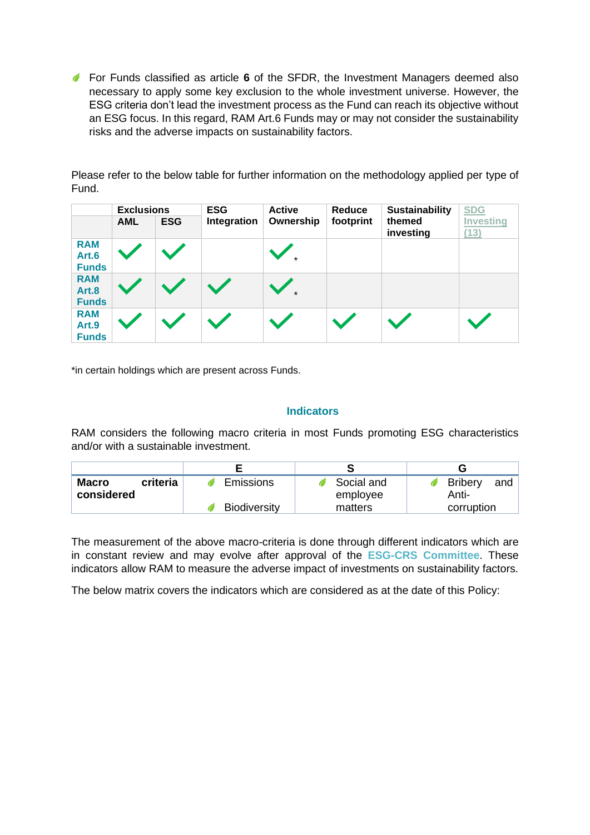For Funds classified as article **6** of the SFDR, the Investment Managers deemed also necessary to apply some key exclusion to the whole investment universe. However, the ESG criteria don't lead the investment process as the Fund can reach its objective without an ESG focus. In this regard, RAM Art.6 Funds may or may not consider the sustainability risks and the adverse impacts on sustainability factors.

Please refer to the below table for further information on the methodology applied per type of Fund.

|                                     | <b>Exclusions</b> |            | <b>ESG</b>  | <b>Active</b> | Reduce    | <b>Sustainability</b> | <b>SDG</b>               |
|-------------------------------------|-------------------|------------|-------------|---------------|-----------|-----------------------|--------------------------|
|                                     | <b>AML</b>        | <b>ESG</b> | Integration | Ownership     | footprint | themed<br>investing   | <b>Investing</b><br>(13) |
| <b>RAM</b><br>Art.6<br><b>Funds</b> |                   |            |             |               |           |                       |                          |
| <b>RAM</b><br>Art.8<br><b>Funds</b> |                   |            |             |               |           |                       |                          |
| <b>RAM</b><br>Art.9<br><b>Funds</b> |                   |            |             |               |           |                       |                          |

\*in certain holdings which are present across Funds.

### **Indicators**

RAM considers the following macro criteria in most Funds promoting ESG characteristics and/or with a sustainable investment.

| <b>Macro</b><br>criteria<br>considered | <b>Emissions</b>    | Social and<br>employee | <b>Bribery</b><br>and<br>Anti- |
|----------------------------------------|---------------------|------------------------|--------------------------------|
|                                        | <b>Biodiversity</b> | matters                | corruption                     |

The measurement of the above macro-criteria is done through different indicators which are in constant review and may evolve after approval of the **ESG-CRS Committee**. These indicators allow RAM to measure the adverse impact of investments on sustainability factors.

The below matrix covers the indicators which are considered as at the date of this Policy: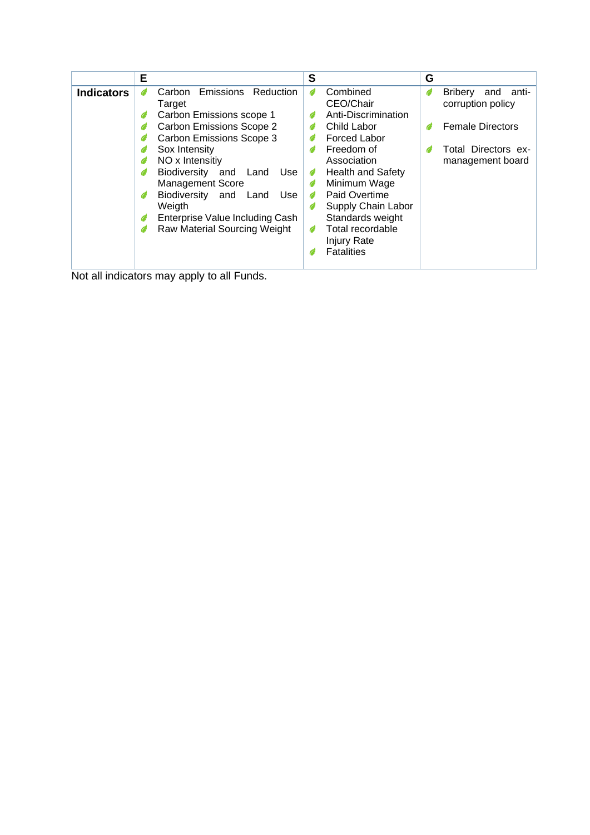|                   | Е                                                                                                                                                                                                                                                                                                                                                                        | S                                                                                                                                                                                                                                                                                               | G                                                                                                                              |
|-------------------|--------------------------------------------------------------------------------------------------------------------------------------------------------------------------------------------------------------------------------------------------------------------------------------------------------------------------------------------------------------------------|-------------------------------------------------------------------------------------------------------------------------------------------------------------------------------------------------------------------------------------------------------------------------------------------------|--------------------------------------------------------------------------------------------------------------------------------|
| <b>Indicators</b> | <b>Emissions</b><br>Reduction<br>Carbon<br>Target<br>Carbon Emissions scope 1<br><b>Carbon Emissions Scope 2</b><br><b>Carbon Emissions Scope 3</b><br>Sox Intensity<br>NO x Intensitiy<br>Biodiversity<br>and<br>Use<br>Land<br><b>Management Score</b><br>Biodiversity and<br>Land<br>Use<br>Weigth<br>Enterprise Value Including Cash<br>Raw Material Sourcing Weight | Combined<br>G<br>CEO/Chair<br>Anti-Discrimination<br>Child Labor<br><b>Forced Labor</b><br>Freedom of<br>Association<br><b>Health and Safety</b><br>Ø<br>Minimum Wage<br>Paid Overtime<br>Supply Chain Labor<br>Standards weight<br>Total recordable<br><b>Injury Rate</b><br><b>Fatalities</b> | <b>Bribery</b><br>and<br>Ô<br>-anti<br>corruption policy<br><b>Female Directors</b><br>Total Directors ex-<br>management board |

Not all indicators may apply to all Funds.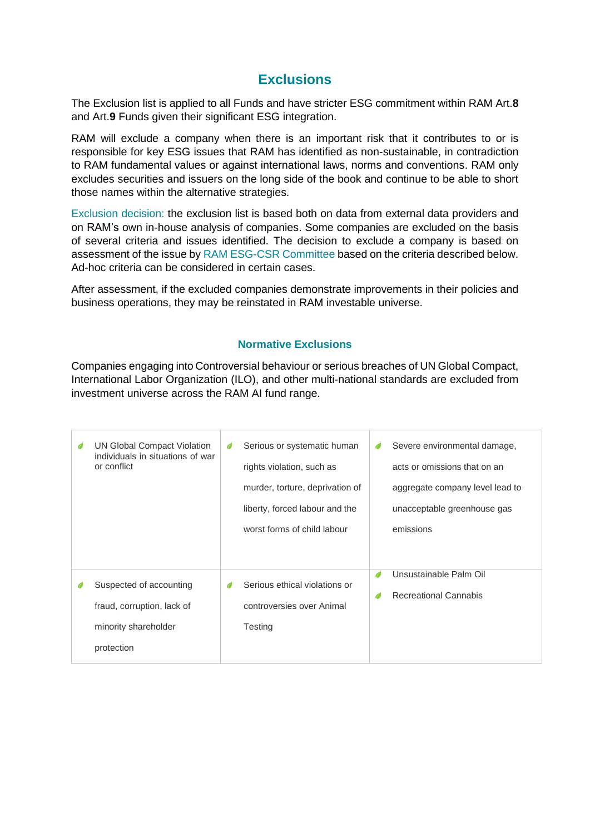### **Exclusions**

The Exclusion list is applied to all Funds and have stricter ESG commitment within RAM Art.**8**  and Art.**9** Funds given their significant ESG integration.

RAM will exclude a company when there is an important risk that it contributes to or is responsible for key ESG issues that RAM has identified as non-sustainable, in contradiction to RAM fundamental values or against international laws, norms and conventions. RAM only excludes securities and issuers on the long side of the book and continue to be able to short those names within the alternative strategies.

Exclusion decision: the exclusion list is based both on data from external data providers and on RAM's own in-house analysis of companies. Some companies are excluded on the basis of several criteria and issues identified. The decision to exclude a company is based on assessment of the issue by RAM ESG-CSR Committee based on the criteria described below. Ad-hoc criteria can be considered in certain cases.

After assessment, if the excluded companies demonstrate improvements in their policies and business operations, they may be reinstated in RAM investable universe.

### **Normative Exclusions**

Companies engaging into Controversial behaviour or serious breaches of UN Global Compact, International Labor Organization (ILO), and other multi-national standards are excluded from investment universe across the RAM AI fund range.

| UN Global Compact Violation<br>individuals in situations of war<br>or conflict              | Ô | Serious or systematic human<br>rights violation, such as<br>murder, torture, deprivation of<br>liberty, forced labour and the<br>worst forms of child labour | G      | Severe environmental damage,<br>acts or omissions that on an<br>aggregate company level lead to<br>unacceptable greenhouse gas<br>emissions |
|---------------------------------------------------------------------------------------------|---|--------------------------------------------------------------------------------------------------------------------------------------------------------------|--------|---------------------------------------------------------------------------------------------------------------------------------------------|
| Suspected of accounting<br>fraud, corruption, lack of<br>minority shareholder<br>protection |   | Serious ethical violations or<br>controversies over Animal<br>Testing                                                                                        | G<br>G | Unsustainable Palm Oil<br><b>Recreational Cannabis</b>                                                                                      |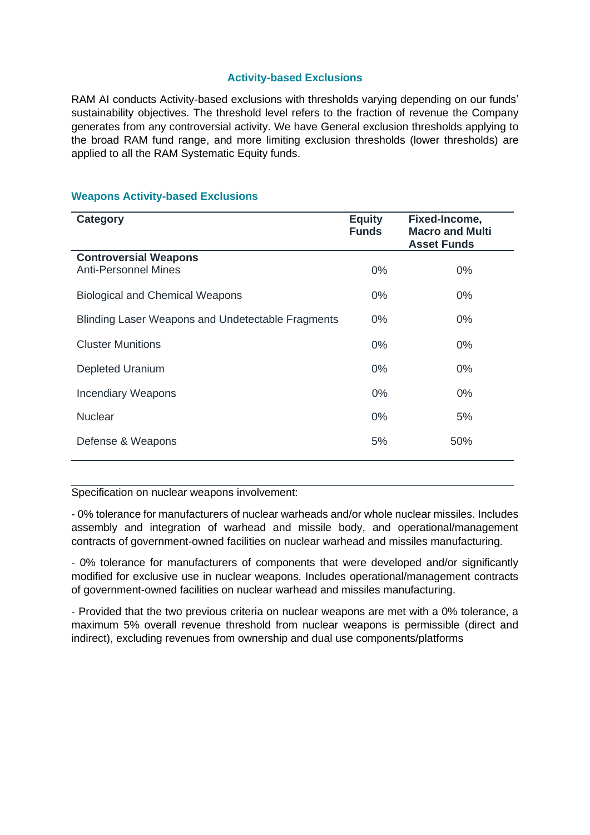### **Activity-based Exclusions**

RAM AI conducts Activity-based exclusions with thresholds varying depending on our funds' sustainability objectives. The threshold level refers to the fraction of revenue the Company generates from any controversial activity. We have General exclusion thresholds applying to the broad RAM fund range, and more limiting exclusion thresholds (lower thresholds) are applied to all the RAM Systematic Equity funds.

### **Weapons Activity-based Exclusions**

| <b>Category</b>                                      | <b>Equity</b><br><b>Funds</b> | Fixed-Income,<br><b>Macro and Multi</b><br><b>Asset Funds</b> |
|------------------------------------------------------|-------------------------------|---------------------------------------------------------------|
| <b>Controversial Weapons</b><br>Anti-Personnel Mines | $0\%$                         | $0\%$                                                         |
| <b>Biological and Chemical Weapons</b>               | $0\%$                         | $0\%$                                                         |
| Blinding Laser Weapons and Undetectable Fragments    | $0\%$                         | $0\%$                                                         |
| <b>Cluster Munitions</b>                             | $0\%$                         | $0\%$                                                         |
| <b>Depleted Uranium</b>                              | $0\%$                         | $0\%$                                                         |
| <b>Incendiary Weapons</b>                            | $0\%$                         | $0\%$                                                         |
| <b>Nuclear</b>                                       | $0\%$                         | 5%                                                            |
| Defense & Weapons                                    | 5%                            | 50%                                                           |

Specification on nuclear weapons involvement:

- 0% tolerance for manufacturers of nuclear warheads and/or whole nuclear missiles. Includes assembly and integration of warhead and missile body, and operational/management contracts of government-owned facilities on nuclear warhead and missiles manufacturing.

- 0% tolerance for manufacturers of components that were developed and/or significantly modified for exclusive use in nuclear weapons. Includes operational/management contracts of government-owned facilities on nuclear warhead and missiles manufacturing.

- Provided that the two previous criteria on nuclear weapons are met with a 0% tolerance, a maximum 5% overall revenue threshold from nuclear weapons is permissible (direct and indirect), excluding revenues from ownership and dual use components/platforms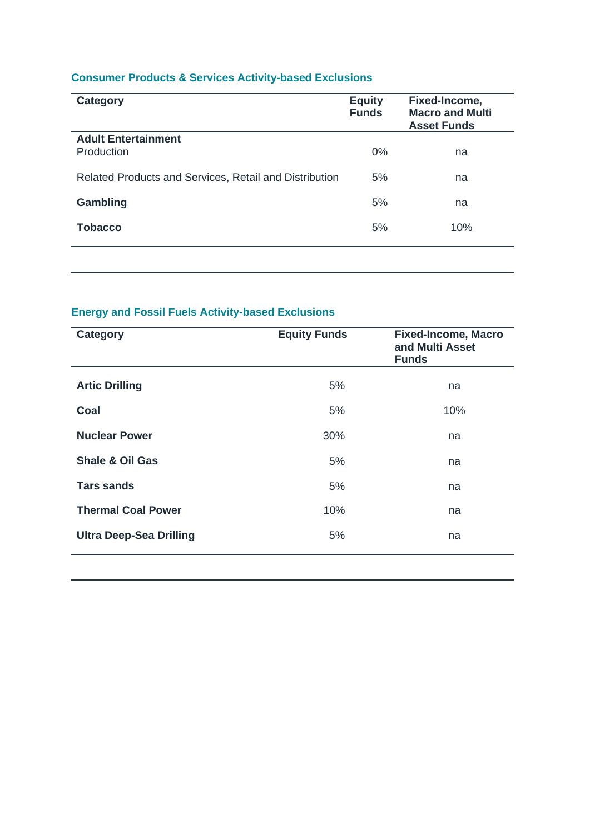### **Consumer Products & Services Activity-based Exclusions**

| <b>Category</b>                                        | <b>Equity</b><br><b>Funds</b> | Fixed-Income,<br><b>Macro and Multi</b><br><b>Asset Funds</b> |
|--------------------------------------------------------|-------------------------------|---------------------------------------------------------------|
| <b>Adult Entertainment</b><br>Production               | 0%                            | na                                                            |
| Related Products and Services, Retail and Distribution | 5%                            | na                                                            |
| Gambling                                               | 5%                            | na                                                            |
| <b>Tobacco</b>                                         | 5%                            | 10%                                                           |
|                                                        |                               |                                                               |

## **Energy and Fossil Fuels Activity-based Exclusions**

| <b>Category</b>                | <b>Equity Funds</b> | <b>Fixed-Income, Macro</b><br>and Multi Asset<br><b>Funds</b> |
|--------------------------------|---------------------|---------------------------------------------------------------|
| <b>Artic Drilling</b>          | 5%                  | na                                                            |
| Coal                           | 5%                  | 10%                                                           |
| <b>Nuclear Power</b>           | 30%                 | na                                                            |
| <b>Shale &amp; Oil Gas</b>     | 5%                  | na                                                            |
| <b>Tars sands</b>              | 5%                  | na                                                            |
| <b>Thermal Coal Power</b>      | 10%                 | na                                                            |
| <b>Ultra Deep-Sea Drilling</b> | 5%                  | na                                                            |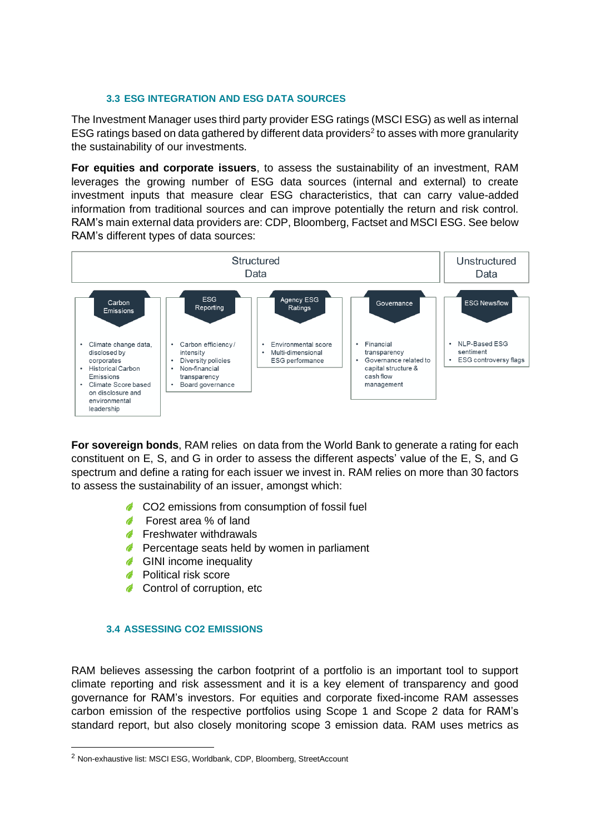### **3.3 ESG INTEGRATION AND ESG DATA SOURCES**

The Investment Manager uses third party provider ESG ratings (MSCI ESG) as well as internal ESG ratings based on data gathered by different data providers<sup>2</sup> to asses with more granularity the sustainability of our investments.

**For equities and corporate issuers**, to assess the sustainability of an investment, RAM leverages the growing number of ESG data sources (internal and external) to create investment inputs that measure clear ESG characteristics, that can carry value-added information from traditional sources and can improve potentially the return and risk control. RAM's main external data providers are: CDP, Bloomberg, Factset and MSCI ESG. See below RAM's different types of data sources:



**For sovereign bonds**, RAM relies on data from the World Bank to generate a rating for each constituent on E, S, and G in order to assess the different aspects' value of the E, S, and G spectrum and define a rating for each issuer we invest in. RAM relies on more than 30 factors to assess the sustainability of an issuer, amongst which:

- **CO2** emissions from consumption of fossil fuel
- **Forest area** % of land
- **Freshwater withdrawals**
- **Percentage seats held by women in parliament**
- GINI income inequality
- **Political risk score**
- Control of corruption, etc

### **3.4 ASSESSING CO2 EMISSIONS**

RAM believes assessing the carbon footprint of a portfolio is an important tool to support climate reporting and risk assessment and it is a key element of transparency and good governance for RAM's investors. For equities and corporate fixed-income RAM assesses carbon emission of the respective portfolios using Scope 1 and Scope 2 data for RAM's standard report, but also closely monitoring scope 3 emission data. RAM uses metrics as

<sup>2</sup> Non-exhaustive list: MSCI ESG, Worldbank, CDP, Bloomberg, StreetAccount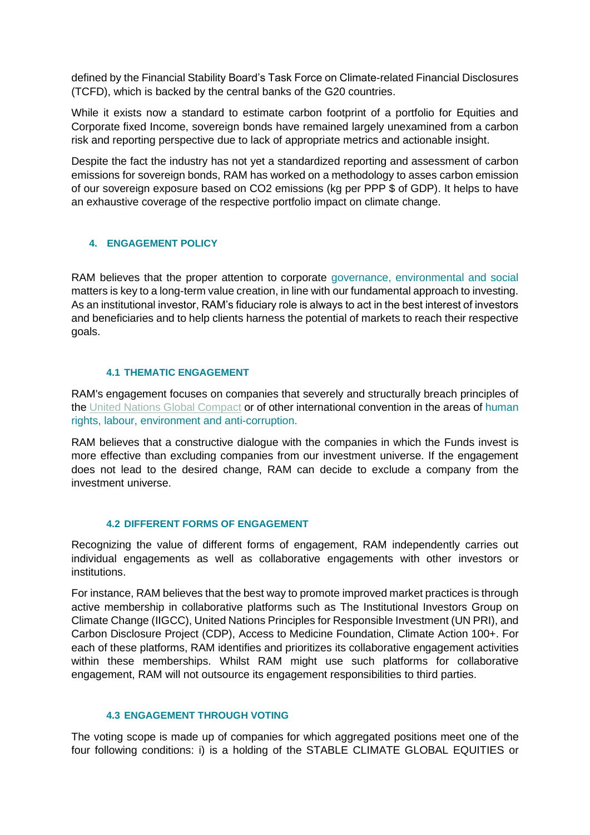defined by the Financial Stability Board's Task Force on Climate-related Financial Disclosures (TCFD), which is backed by the central banks of the G20 countries.

While it exists now a standard to estimate carbon footprint of a portfolio for Equities and Corporate fixed Income, sovereign bonds have remained largely unexamined from a carbon risk and reporting perspective due to lack of appropriate metrics and actionable insight.

Despite the fact the industry has not yet a standardized reporting and assessment of carbon emissions for sovereign bonds, RAM has worked on a methodology to asses carbon emission of our sovereign exposure based on CO2 emissions (kg per PPP \$ of GDP). It helps to have an exhaustive coverage of the respective portfolio impact on climate change.

### **4. ENGAGEMENT POLICY**

RAM believes that the proper attention to corporate governance, environmental and social matters is key to a long-term value creation, in line with our fundamental approach to investing. As an institutional investor, RAM's fiduciary role is always to act in the best interest of investors and beneficiaries and to help clients harness the potential of markets to reach their respective goals.

### **4.1 THEMATIC ENGAGEMENT**

RAM's engagement focuses on companies that severely and structurally breach principles of the [United Nations Global Compact](https://www.unglobalcompact.org/) or of other international convention in the areas of human rights, labour, environment and anti-corruption.

RAM believes that a constructive dialogue with the companies in which the Funds invest is more effective than excluding companies from our investment universe. If the engagement does not lead to the desired change, RAM can decide to exclude a company from the investment universe.

### **4.2 DIFFERENT FORMS OF ENGAGEMENT**

Recognizing the value of different forms of engagement, RAM independently carries out individual engagements as well as collaborative engagements with other investors or institutions.

For instance, RAM believes that the best way to promote improved market practices is through active membership in collaborative platforms such as The Institutional Investors Group on Climate Change (IIGCC), United Nations Principles for Responsible Investment (UN PRI), and Carbon Disclosure Project (CDP), Access to Medicine Foundation, Climate Action 100+. For each of these platforms, RAM identifies and prioritizes its collaborative engagement activities within these memberships. Whilst RAM might use such platforms for collaborative engagement, RAM will not outsource its engagement responsibilities to third parties.

### **4.3 ENGAGEMENT THROUGH VOTING**

The voting scope is made up of companies for which aggregated positions meet one of the four following conditions: i) is a holding of the STABLE CLIMATE GLOBAL EQUITIES or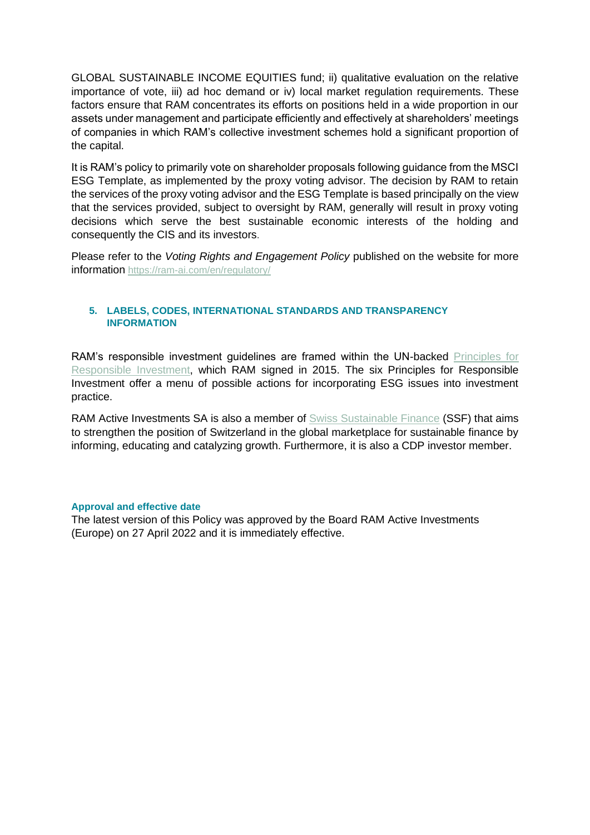GLOBAL SUSTAINABLE INCOME EQUITIES fund; ii) qualitative evaluation on the relative importance of vote, iii) ad hoc demand or iv) local market regulation requirements. These factors ensure that RAM concentrates its efforts on positions held in a wide proportion in our assets under management and participate efficiently and effectively at shareholders' meetings of companies in which RAM's collective investment schemes hold a significant proportion of the capital.

It is RAM's policy to primarily vote on shareholder proposals following guidance from the MSCI ESG Template, as implemented by the proxy voting advisor. The decision by RAM to retain the services of the proxy voting advisor and the ESG Template is based principally on the view that the services provided, subject to oversight by RAM, generally will result in proxy voting decisions which serve the best sustainable economic interests of the holding and consequently the CIS and its investors.

Please refer to the *Voting Rights and Engagement Policy* published on the website for more information <https://ram-ai.com/en/regulatory/>

### **5. LABELS, CODES, INTERNATIONAL STANDARDS AND TRANSPARENCY INFORMATION**

RAM's responsible investment guidelines are framed within the UN-backed [Principles for](https://www.unpri.org/)  [Responsible Investment,](https://www.unpri.org/) which RAM signed in 2015. The six Principles for Responsible Investment offer a menu of possible actions for incorporating ESG issues into investment practice.

RAM Active Investments SA is also a member of [Swiss Sustainable Finance](https://www.sustainablefinance.ch/) (SSF) that aims to strengthen the position of Switzerland in the global marketplace for sustainable finance by informing, educating and catalyzing growth. Furthermore, it is also a CDP investor member.

### **Approval and effective date**

The latest version of this Policy was approved by the Board RAM Active Investments (Europe) on 27 April 2022 and it is immediately effective.